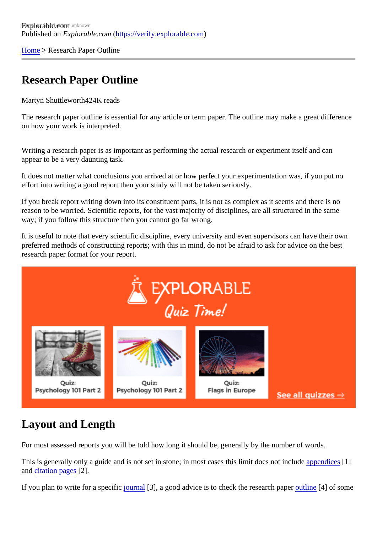[Home](https://verify.explorable.com/)> Research Paper Outline

### Research Paper Outline

Martyn Shuttlewort<sup>424</sup>K reads

The research paper outline is essential for any article or term paper. The outline may make a great difference on how your work is interpreted.

Writing a research paper is as important as performing the actual research or experiment itself and can appear to be a very daunting task.

It does not matter what conclusions you arrived at or how perfect your experimentation was, if you put no effort into writing a good report then your study will not be taken seriously.

If you break report writing down into its constituent parts, it is not as complex as it seems and there is no reason to be worried. Scientific reports, for the vast majority of disciplines, are all structured in the same way; if you follow this structure then you cannot go far wrong.

It is useful to note that every scientific discipline, every university and even supervisors can have their own preferred methods of constructing reports; with this in mind, do not be afraid to ask for advice on the best research paper format for your report.

### Layout and Length

For most assessed reports you will be told how long it should be, generally by the number of words.

This is generally only a guide and is not set in stone; in most cases this limit does not applement cest in an[d citation page](https://verify.explorable.com/writing-a-bibliography)\$2].

If you plan to write for a specific urnal [3], a good advice is to check the research paper and is some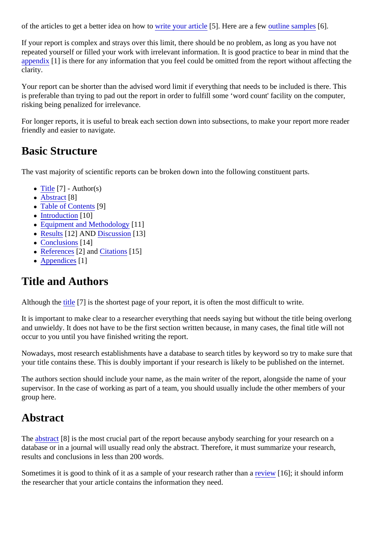of the articles to get a better idea on how to be your article<sup>[5]</sup>. Here are a few utline sample<sup>66</sup>].

If your report is complex and strays over this limit, there should be no problem, as long as you have not repeated yourself or filled your work with irrelevant information. It is good practice to bear in mind that the [appendix](https://verify.explorable.com/writing-an-appendix)<sup>[1]</sup> is there for any information that you feel could be omitted from the report without affecting the clarity.

Your report can be shorter than the advised word limit if everything that needs to be included is there. This is preferable than trying to pad out the report in order to fulfill some 'word count' facility on the computer, risking being penalized for irrelevance.

For longer reports, it is useful to break each section down into subsections, to make your report more read friendly and easier to navigate.

#### Basic Structure

The vast majority of scientific reports can be broken down into the following constituent parts.

- $\bullet$  [Title](https://verify.explorable.com/apa-title-page) [7] Author(s)
- [Abstract](https://verify.explorable.com/writing-an-abstract)[8]
- $\overline{\phantom{a}}$  [Table of Content](https://verify.explorable.com/table-of-contents-format) $[9]$
- [Introduction](https://verify.explorable.com/how-to-write-an-introduction)[10]
- [Equipment and Methodolog](https://verify.explorable.com/writing-methodology)y<sup>1</sup>]
- [Results](https://verify.explorable.com/writing-a-results-section)[12] AND [Discussion](https://verify.explorable.com/writing-a-discussion-section)[13]
- [Conclusion](https://verify.explorable.com/writing-a-conclusion)s<sup>14</sup>]
- [Reference](https://verify.explorable.com/writing-a-bibliography)<sup>\$2</sup>] and [Citations](https://verify.explorable.com/in-text-citation)<sup>[15]</sup>
- [Appendices](https://verify.explorable.com/writing-an-appendix)<sup>1</sup>]

#### Title and Authors

Although th[e title](https://verify.explorable.com/apa-title-page) [7] is the shortest page of your report, it is often the most difficult to write.

It is important to make clear to a researcher everything that needs saying but without the title being overlo and unwieldy. It does not have to be the first section written because, in many cases, the final title will not occur to you until you have finished writing the report.

Nowadays, most research establishments have a database to search titles by keyword so try to make sure your title contains these. This is doubly important if your research is likely to be published on the internet.

The authors section should include your name, as the main writer of the report, alongside the name of your supervisor. In the case of working as part of a team, you should usually include the other members of your group here.

#### Abstract

The [abstrac](https://verify.explorable.com/writing-an-abstract)t<sup>[8]</sup> is the most crucial part of the report because anybody searching for your research on a database or in a journal will usually read only the abstract. Therefore, it must summarize your research, results and conclusions in less than 200 words.

Sometimes it is good to think of it as a sample of your research ratherrehand 16]; it should inform the researcher that your article contains the information they need.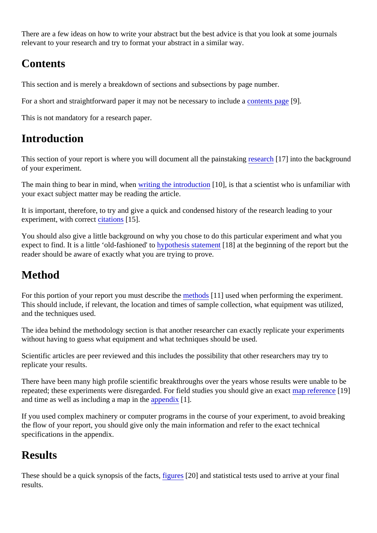There are a few ideas on how to write your abstract but the best advice is that you look at some journals relevant to your research and try to format your abstract in a similar way.

## **Contents**

This section and is merely a breakdown of sections and subsections by page number.

For a short and straightforward paper it may not be necessary to include ats page.

This is not mandatory for a research paper.

#### Introduction

This section of your report is where you will document all the painstaking arch<sup>17</sup>] into the background of your experiment.

The main thing to bear in mind, when iting the introduction [10], is that a scientist who is unfamiliar with your exact subject matter may be reading the article.

It is important, therefore, to try and give a quick and condensed history of the research leading to your experiment, with correctitations[15].

You should also give a little background on why you chose to do this particular experiment and what you expect to find. It is a little 'old-fashioned' to pothesis statement 8] at the beginning of the report but the reader should be aware of exactly what you are trying to prove.

## Method

For this portion of your report you must describerthe hods [11] used when performing the experiment. This should include, if relevant, the location and times of sample collection, what equipment was utilized, and the techniques used.

The idea behind the methodology section is that another researcher can exactly replicate your experiment without having to guess what equipment and what techniques should be used.

Scientific articles are peer reviewed and this includes the possibility that other researchers may try to replicate your results.

There have been many high profile scientific breakthroughs over the years whose results were unable to be repeated; these experiments were disregarded. For field studies you should give an exact rence [9] and time as well as including a map in  $t$  meendix[1].

If you used complex machinery or computer programs in the course of your experiment, to avoid breaking the flow of your report, you should give only the main information and refer to the exact technical specifications in the appendix.

### **Results**

These should be a quick synopsis of the faicts rest and statistical tests used to arrive at your final results.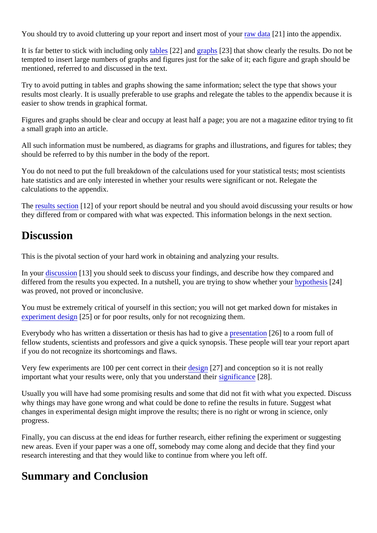You should try to avoid cluttering up your report and insert most of your data [21] into the appendix.

It is far better to stick with including onlow bester an[d graphs](https://verify.explorable.com/research-paper-format#graphs) [23] that show clearly the results. Do not be tempted to insert large numbers of graphs and figures just for the sake of it; each figure and graph should mentioned, referred to and discussed in the text.

Try to avoid putting in tables and graphs showing the same information; select the type that shows your results most clearly. It is usually preferable to use graphs and relegate the tables to the appendix because easier to show trends in graphical format.

Figures and graphs should be clear and occupy at least half a page; you are not a magazine editor trying to a small graph into an article.

All such information must be numbered, as diagrams for graphs and illustrations, and figures for tables; the should be referred to by this number in the body of the report.

You do not need to put the full breakdown of the calculations used for your statistical tests; most scientists hate statistics and are only interested in whether your results were significant or not. Relegate the calculations to the appendix.

The [results sectio](https://verify.explorable.com/writing-a-results-section)n[12] of your report should be neutral and you should avoid discussing your results or hov they differed from or compared with what was expected. This information belongs in the next section.

#### **Discussion**

This is the pivotal section of your hard work in obtaining and analyzing your results.

In your [discussion](https://verify.explorable.com/writing-a-discussion-section) [13] you should seek to discuss your findings, and describe how they compared and differed from the results you expected. In a nutshell, you are trying to show whether votinesis [24] was proved, not proved or inconclusive.

You must be extremely critical of yourself in this section; you will not get marked down for mistakes in [experiment desig](https://verify.explorable.com/design-of-experiment)nerial or for poor results, only for not recognizing them.

Everybody who has written a dissertation or thesis has had to gives entation[26] to a room full of fellow students, scientists and professors and give a quick synopsis. These people will tear your report apart if you do not recognize its shortcomings and flaws.

Very few experiments are 100 per cent correct in the stign[27] and conception so it is not really important what your results were, only that you understand shight incance [28].

Usually you will have had some promising results and some that did not fit with what you expected. Discuss why things may have gone wrong and what could be done to refine the results in future. Suggest what changes in experimental design might improve the results; there is no right or wrong in science, only progress.

Finally, you can discuss at the end ideas for further research, either refining the experiment or suggesting new areas. Even if your paper was a one off, somebody may come along and decide that they find your research interesting and that they would like to continue from where you left off.

### Summary and Conclusion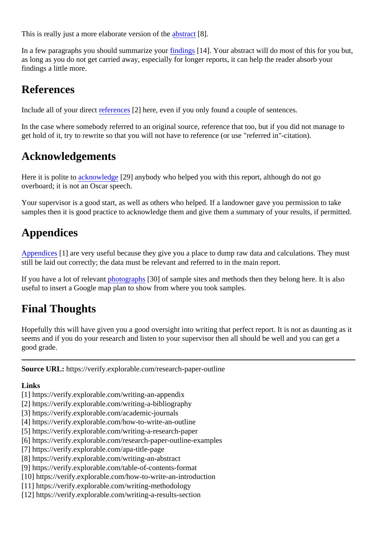This is really just a more elaborate version of abetract 8].

In a few paragraphs you should summarize *viondrings* [14]. Your abstract will do most of this for you but, as long as you do not get carried away, especially for longer reports, it can help the reader absorb your findings a little more.

#### References

Include all of your direct eference \$2] here, even if you only found a couple of sentences.

In the case where somebody referred to an original source, reference that too, but if you did not manage to get hold of it, try to rewrite so that you will not have to reference (or use "referred in"-citation).

#### Acknowledgements

Here it is polite t[o acknowledg](https://verify.explorable.com/writing-acknowledgements)e 29] anybody who helped you with this report, although do not go overboard; it is not an Oscar speech.

Your supervisor is a good start, as well as others who helped. If a landowner gave you permission to take samples then it is good practice to acknowledge them and give them a summary of your results, if permitted.

## Appendices

[Appendices](https://verify.explorable.com/writing-an-appendix) 1] are very useful because they give you a place to dump raw data and calculations. They must still be laid out correctly; the data must be relevant and referred to in the main report.

If you have a lot of relevam thotograph\$30] of sample sites and methods then they belong here. It is also useful to insert a Google map plan to show from where you took samples.

# Final Thoughts

Hopefully this will have given you a good oversight into writing that perfect report. It is not as daunting as i seems and if you do your research and listen to your supervisor then all should be well and you can get a good grade.

Source URL: https://verify.explorable.com/research-paper-outline

Links

- [1] https://verify.explorable.com/writing-an-appendix
- [2] https://verify.explorable.com/writing-a-bibliography
- [3] https://verify.explorable.com/academic-journals
- [4] https://verify.explorable.com/how-to-write-an-outline
- [5] https://verify.explorable.com/writing-a-research-paper
- [6] https://verify.explorable.com/research-paper-outline-examples
- [7] https://verify.explorable.com/apa-title-page
- [8] https://verify.explorable.com/writing-an-abstract
- [9] https://verify.explorable.com/table-of-contents-format
- [10] https://verify.explorable.com/how-to-write-an-introduction
- [11] https://verify.explorable.com/writing-methodology
- [12] https://verify.explorable.com/writing-a-results-section